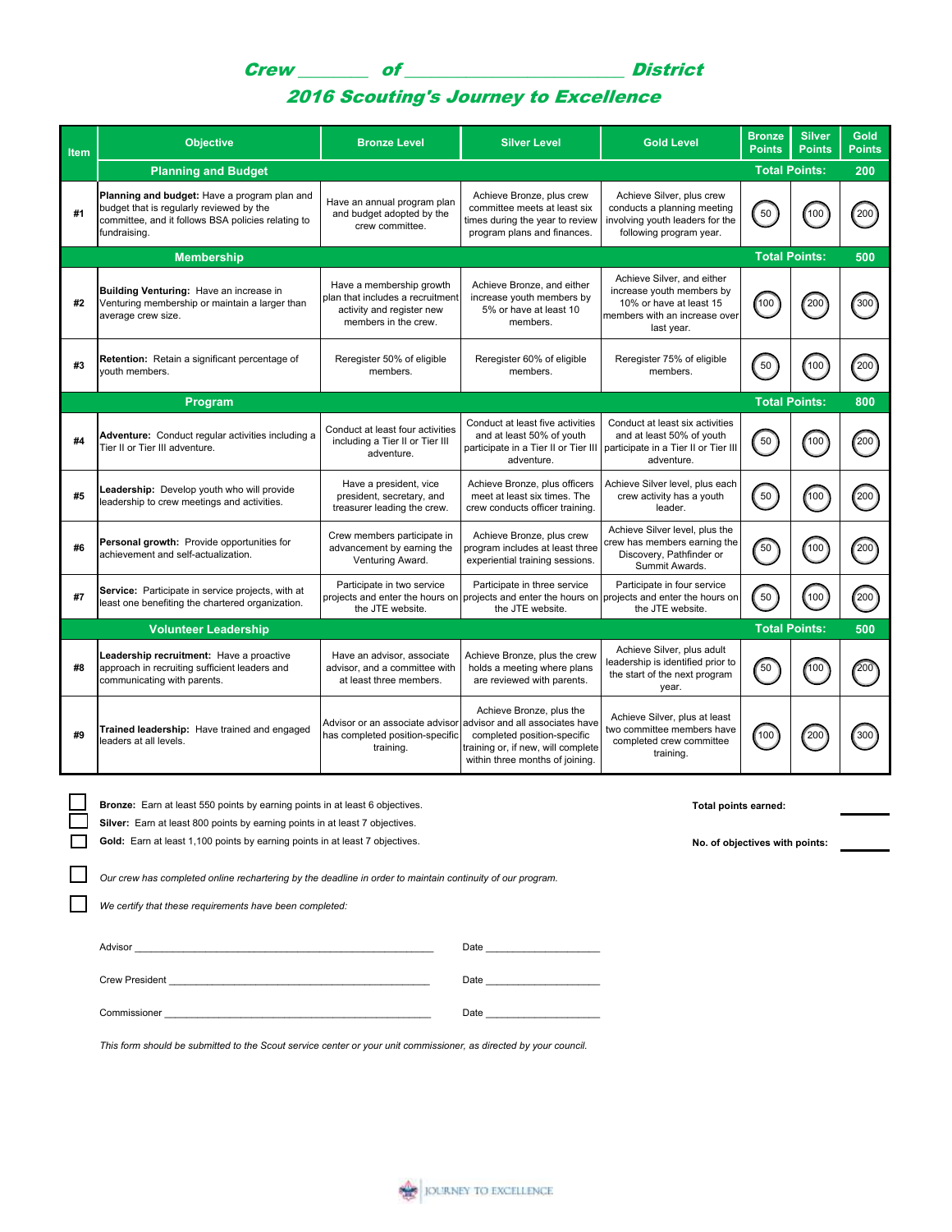Crew \_\_\_\_\_\_\_\_ of \_\_\_\_\_\_\_\_\_\_\_\_\_\_\_\_\_\_\_\_\_\_\_\_\_ District

## 2016 Scouting's Journey to Excellence

| <b>Item</b> | <b>Objective</b>                                                                                                                                               | <b>Bronze Level</b>                                                                                                                                                                                                                                                                                    | <b>Silver Level</b>                                                                                                                                                 | <b>Gold Level</b>                                                                                                                 | <b>Bronze</b><br><b>Points</b> | <b>Silver</b><br><b>Points</b> | Gold<br><b>Points</b> |
|-------------|----------------------------------------------------------------------------------------------------------------------------------------------------------------|--------------------------------------------------------------------------------------------------------------------------------------------------------------------------------------------------------------------------------------------------------------------------------------------------------|---------------------------------------------------------------------------------------------------------------------------------------------------------------------|-----------------------------------------------------------------------------------------------------------------------------------|--------------------------------|--------------------------------|-----------------------|
|             | <b>Total Points:</b><br><b>Planning and Budget</b><br>200                                                                                                      |                                                                                                                                                                                                                                                                                                        |                                                                                                                                                                     |                                                                                                                                   |                                |                                |                       |
| #1          | Planning and budget: Have a program plan and<br>budget that is regularly reviewed by the<br>committee, and it follows BSA policies relating to<br>fundraising. | Have an annual program plan<br>and budget adopted by the<br>crew committee.                                                                                                                                                                                                                            | Achieve Bronze, plus crew<br>committee meets at least six<br>times during the year to review<br>program plans and finances.                                         | Achieve Silver, plus crew<br>conducts a planning meeting<br>involving youth leaders for the<br>following program year.            | 50                             | (100)                          | 200                   |
|             | <b>Membership</b>                                                                                                                                              |                                                                                                                                                                                                                                                                                                        |                                                                                                                                                                     |                                                                                                                                   |                                | <b>Total Points:</b>           | 500                   |
| #2          | Building Venturing: Have an increase in<br>Venturing membership or maintain a larger than<br>average crew size.                                                | Have a membership growth<br>plan that includes a recruitment<br>activity and register new<br>members in the crew.                                                                                                                                                                                      | Achieve Bronze, and either<br>increase youth members by<br>5% or have at least 10<br>members.                                                                       | Achieve Silver, and either<br>increase youth members by<br>10% or have at least 15<br>members with an increase over<br>last year. | 100                            | 200                            | "300"                 |
| #3          | Retention: Retain a significant percentage of<br>vouth members.                                                                                                | Reregister 50% of eligible<br>members.                                                                                                                                                                                                                                                                 | Reregister 60% of eligible<br>members.                                                                                                                              | Reregister 75% of eligible<br>members.                                                                                            | 50                             | 100                            | 200                   |
|             | Program                                                                                                                                                        |                                                                                                                                                                                                                                                                                                        |                                                                                                                                                                     |                                                                                                                                   |                                | <b>Total Points:</b>           | 800                   |
| #4          | Adventure: Conduct regular activities including a<br>Tier II or Tier III adventure.                                                                            | Conduct at least four activities<br>including a Tier II or Tier III<br>adventure.                                                                                                                                                                                                                      | Conduct at least five activities<br>and at least 50% of youth<br>participate in a Tier II or Tier III<br>adventure.                                                 | Conduct at least six activities<br>and at least 50% of youth<br>participate in a Tier II or Tier III<br>adventure.                | 50                             | 100                            | 200                   |
| #5          | Leadership: Develop youth who will provide<br>leadership to crew meetings and activities.                                                                      | Have a president, vice<br>president, secretary, and<br>treasurer leading the crew.                                                                                                                                                                                                                     | Achieve Bronze, plus officers<br>meet at least six times. The<br>crew conducts officer training.                                                                    | Achieve Silver level, plus each<br>crew activity has a youth<br>leader.                                                           | 50                             | 100                            | 200                   |
| #6          | Personal growth: Provide opportunities for<br>achievement and self-actualization.                                                                              | Crew members participate in<br>advancement by earning the<br>Venturing Award.                                                                                                                                                                                                                          | Achieve Bronze, plus crew<br>program includes at least three<br>experiential training sessions.                                                                     | Achieve Silver level, plus the<br>crew has members earning the<br>Discovery, Pathfinder or<br>Summit Awards.                      | 50                             | 100                            | 200                   |
| #7          | Service: Participate in service projects, with at<br>least one benefiting the chartered organization.                                                          | Participate in two service<br>projects and enter the hours on<br>the JTE website.                                                                                                                                                                                                                      | Participate in three service<br>projects and enter the hours on<br>the JTE website.                                                                                 | Participate in four service<br>projects and enter the hours on<br>the JTE website.                                                | 50                             | 100                            | 200                   |
|             | <b>Volunteer Leadership</b>                                                                                                                                    |                                                                                                                                                                                                                                                                                                        |                                                                                                                                                                     |                                                                                                                                   |                                | <b>Total Points:</b>           | 500                   |
| #8          | Leadership recruitment: Have a proactive<br>approach in recruiting sufficient leaders and<br>communicating with parents.                                       | Have an advisor, associate<br>advisor, and a committee with<br>at least three members.                                                                                                                                                                                                                 | Achieve Bronze, plus the crew<br>holds a meeting where plans<br>are reviewed with parents.                                                                          | Achieve Silver, plus adult<br>leadership is identified prior to<br>the start of the next program<br>year.                         | 50                             | 100                            | 200                   |
| #9          | Trained leadership: Have trained and engaged<br>leaders at all levels.                                                                                         | Advisor or an associate advisor<br>has completed position-specific<br>training.                                                                                                                                                                                                                        | Achieve Bronze, plus the<br>advisor and all associates have<br>completed position-specific<br>training or, if new, will complete<br>within three months of joining. | Achieve Silver, plus at least<br>two committee members have<br>completed crew committee<br>training.                              | 100                            | 200                            | 300                   |
|             |                                                                                                                                                                | Bronze: Earn at least 550 points by earning points in at least 6 objectives.<br>Total points earned:<br>Silver: Earn at least 800 points by earning points in at least 7 objectives.<br>Gold: Earn at least 1,100 points by earning points in at least 7 objectives.<br>No. of objectives with points: |                                                                                                                                                                     |                                                                                                                                   |                                |                                |                       |
|             | Our crew has completed online rechartering by the deadline in order to maintain continuity of our program.                                                     |                                                                                                                                                                                                                                                                                                        |                                                                                                                                                                     |                                                                                                                                   |                                |                                |                       |

*We certify that these requirements have been completed:*

Advisor \_\_\_\_\_\_\_\_\_\_\_\_\_\_\_\_\_\_\_\_\_\_\_\_\_\_\_\_\_\_\_\_\_\_\_\_\_\_\_\_\_\_\_\_\_\_\_\_\_\_\_\_\_\_\_ Date \_\_\_\_\_\_\_\_\_\_\_\_\_\_\_\_\_\_\_\_\_ Crew President \_\_\_\_\_\_\_\_\_\_\_\_\_\_\_\_\_\_\_\_\_\_\_\_\_\_\_\_\_\_\_\_\_\_\_\_\_\_\_\_\_\_\_\_\_\_\_\_ Date \_\_\_\_\_\_\_\_\_\_\_\_\_\_\_\_\_\_\_\_\_ Commissioner \_\_\_\_\_\_\_\_\_\_\_\_\_\_\_\_\_\_\_\_\_\_\_\_\_\_\_\_\_\_\_\_\_\_\_\_\_\_\_\_\_\_\_\_\_\_\_\_\_ Date \_\_\_\_\_\_\_\_\_\_\_\_\_\_\_\_\_\_\_\_\_

*This form should be submitted to the Scout service center or your unit commissioner, as directed by your council.*